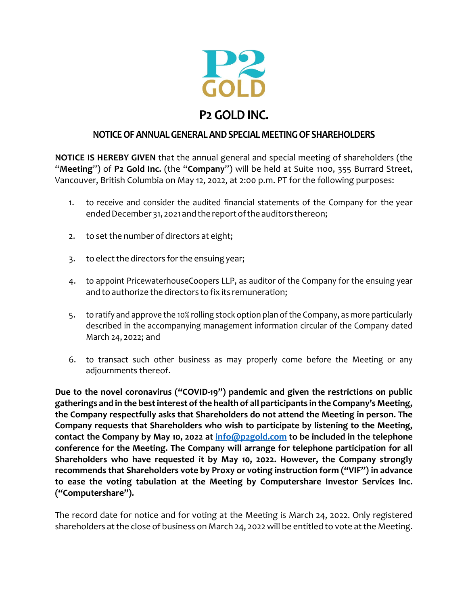

## **NOTICEOFANNUALGENERALANDSPECIALMEETINGOF SHAREHOLDERS**

**NOTICE IS HEREBY GIVEN** that the annual general and special meeting of shareholders (the "**Meeting**") of **P2 Gold Inc.** (the "**Company**") will be held at Suite 1100, 355 Burrard Street, Vancouver, British Columbia on May 12, 2022, at 2:00 p.m. PT for the following purposes:

- 1. to receive and consider the audited financial statements of the Company for the year ended December 31, 2021 and the report of the auditors thereon;
- 2. to set the number of directors at eight;
- 3. to elect the directors for the ensuing year;
- 4. to appoint PricewaterhouseCoopers LLP, as auditor of the Company for the ensuing year and to authorize the directors to fix its remuneration;
- 5. to ratify and approve the 10% rolling stock option plan ofthe Company, as more particularly described in the accompanying management information circular of the Company dated March 24, 2022; and
- 6. to transact such other business as may properly come before the Meeting or any adjournments thereof.

**Due to the novel coronavirus ("COVID‐19") pandemic and given the restrictions on public gatherings and in the bestinterest ofthe health of all participants in the Company's Meeting, the Company respectfully asks that Shareholders do not attend the Meeting in person. The Company requests that Shareholders who wish to participate by listening to the Meeting, contact the Company by May 10, 2022 at info@p2gold.com to be included in the telephone conference for the Meeting. The Company will arrange for telephone participation for all Shareholders who have requested it by May 10, 2022. However, the Company strongly recommends that Shareholders vote by Proxy or voting instruction form ("VIF") in advance to ease the voting tabulation at the Meeting by Computershare Investor Services Inc. ("Computershare").** 

The record date for notice and for voting at the Meeting is March 24, 2022. Only registered shareholders at the close of business on March 24, 2022 will be entitled to vote at the Meeting.